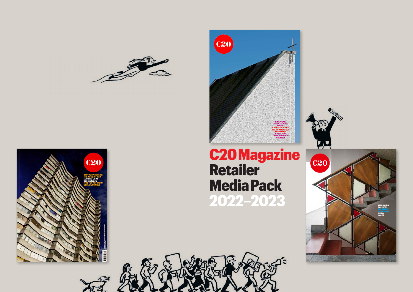







# C20 Magazine Retailer Media Pack 2022–2023